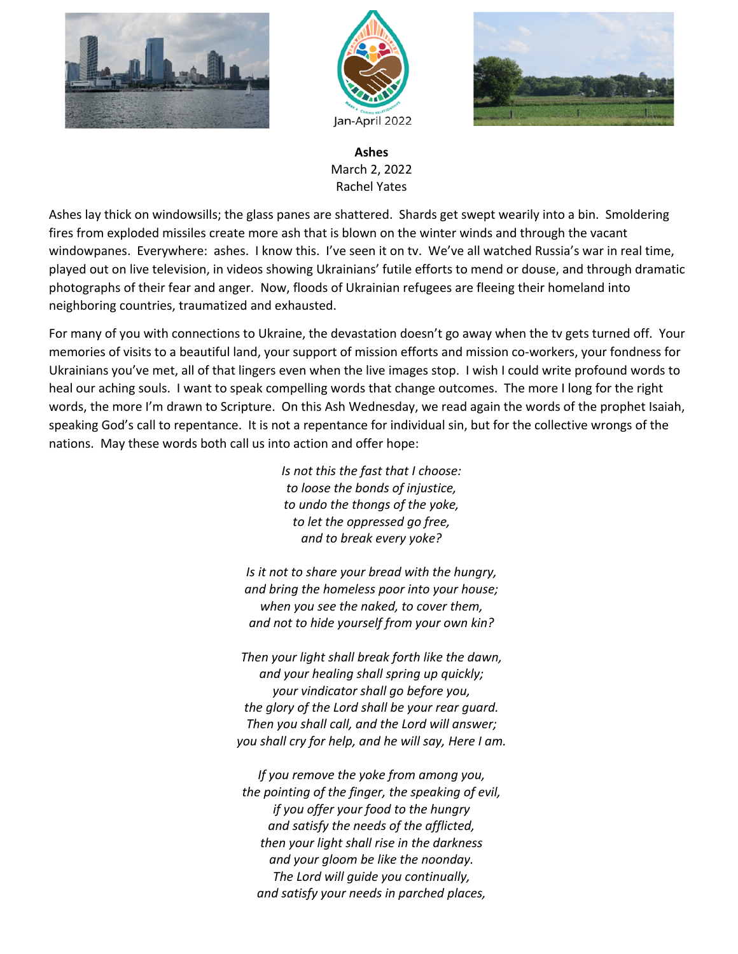





**Ashes** March 2, 2022 Rachel Yates

Ashes lay thick on windowsills; the glass panes are shattered. Shards get swept wearily into a bin. Smoldering fires from exploded missiles create more ash that is blown on the winter winds and through the vacant windowpanes. Everywhere: ashes. I know this. I've seen it on tv. We've all watched Russia's war in real time, played out on live television, in videos showing Ukrainians' futile efforts to mend or douse, and through dramatic photographs of their fear and anger. Now, floods of Ukrainian refugees are fleeing their homeland into neighboring countries, traumatized and exhausted.

For many of you with connections to Ukraine, the devastation doesn't go away when the tv gets turned off. Your memories of visits to a beautiful land, your support of mission efforts and mission co-workers, your fondness for Ukrainians you've met, all of that lingers even when the live images stop. I wish I could write profound words to heal our aching souls. I want to speak compelling words that change outcomes. The more I long for the right words, the more I'm drawn to Scripture. On this Ash Wednesday, we read again the words of the prophet Isaiah, speaking God's call to repentance. It is not a repentance for individual sin, but for the collective wrongs of the nations. May these words both call us into action and offer hope:

> *Is not this the fast that I choose: to loose the bonds of injustice, to undo the thongs of the yoke, to let the oppressed go free, and to break every yoke?*

*Is it not to share your bread with the hungry, and bring the homeless poor into your house; when you see the naked, to cover them, and not to hide yourself from your own kin?*

*Then your light shall break forth like the dawn, and your healing shall spring up quickly; your vindicator shall go before you, the glory of the Lord shall be your rear guard. Then you shall call, and the Lord will answer; you shall cry for help, and he will say, Here I am.*

*If you remove the yoke from among you, the pointing of the finger, the speaking of evil, if you offer your food to the hungry and satisfy the needs of the afflicted, then your light shall rise in the darkness and your gloom be like the noonday. The Lord will guide you continually, and satisfy your needs in parched places,*